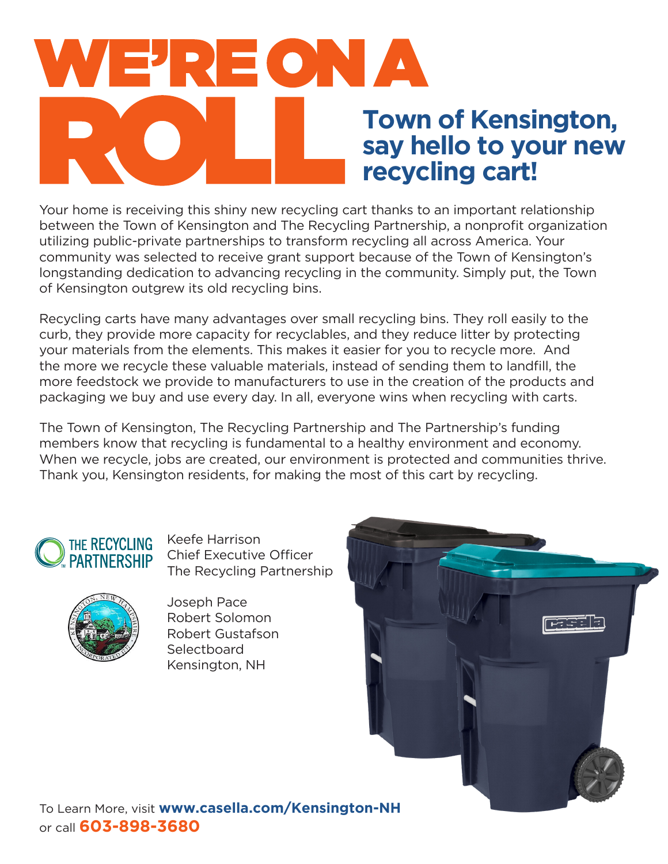# WE'REON A **Town of Kensington, say hello to your new recycling cart!**

Your home is receiving this shiny new recycling cart thanks to an important relationship between the Town of Kensington and The Recycling Partnership, a nonprofit organization utilizing public-private partnerships to transform recycling all across America. Your community was selected to receive grant support because of the Town of Kensington's longstanding dedication to advancing recycling in the community. Simply put, the Town of Kensington outgrew its old recycling bins.

Recycling carts have many advantages over small recycling bins. They roll easily to the curb, they provide more capacity for recyclables, and they reduce litter by protecting your materials from the elements. This makes it easier for you to recycle more. And the more we recycle these valuable materials, instead of sending them to landfill, the more feedstock we provide to manufacturers to use in the creation of the products and packaging we buy and use every day. In all, everyone wins when recycling with carts.

The Town of Kensington, The Recycling Partnership and The Partnership's funding members know that recycling is fundamental to a healthy environment and economy. When we recycle, jobs are created, our environment is protected and communities thrive. Thank you, Kensington residents, for making the most of this cart by recycling.



Keefe Harrison Chief Executive Officer The Recycling Partnership



Joseph Pace Robert Solomon Robert Gustafson **Selectboard** Kensington, NH



To Learn More, visit **www.casella.com/Kensington-NH** or call **603-898-3680**